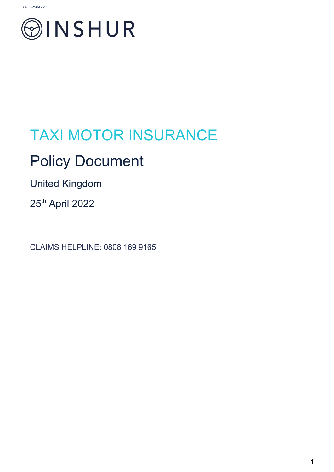

# TAXI MOTOR INSURANCE

## Policy Document

United Kingdom

25<sup>th</sup> April 2022

CLAIMS HELPLINE: 0808 169 9165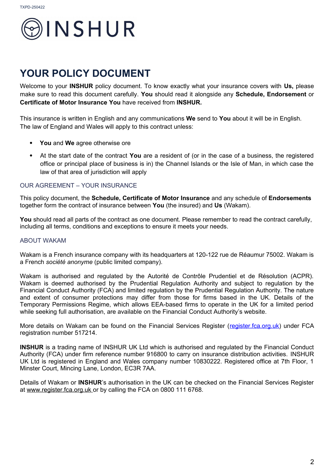

### **YOUR POLICY DOCUMENT**

Welcome to your **INSHUR** policy document. To know exactly what your insurance covers with **Us,** please make sure to read this document carefully. **You** should read it alongside any **Schedule, Endorsement** or **Certificate of Motor Insurance You** have received from **INSHUR.**

This insurance is written in English and any communications **We** send to **You** about it will be in English. The law of England and Wales will apply to this contract unless:

- **You** and **We** agree otherwise ore
- At the start date of the contract **You** are a resident of (or in the case of a business, the registered office or principal place of business is in) the Channel Islands or the Isle of Man, in which case the law of that area of jurisdiction will apply

#### OUR AGREEMENT – YOUR INSURANCE

This policy document, the **Schedule, Certificate of Motor Insurance** and any schedule of **Endorsements** together form the contract of insurance between **You** (the insured) and **Us** (Wakam).

You should read all parts of the contract as one document. Please remember to read the contract carefully, including all terms, conditions and exceptions to ensure it meets your needs.

#### ABOUT WAKAM

Wakam is a French insurance company with its headquarters at 120-122 rue de Réaumur 75002. Wakam is a French *société anonyme* (public limited company).

Wakam is authorised and regulated by the Autorité de Contrôle Prudentiel et de Résolution (ACPR). Wakam is deemed authorised by the Prudential Regulation Authority and subject to regulation by the Financial Conduct Authority (FCA) and limited regulation by the Prudential Regulation Authority. The nature and extent of consumer protections may differ from those for firms based in the UK. Details of the Temporary Permissions Regime, which allows EEA-based firms to operate in the UK for a limited period while seeking full authorisation, are available on the Financial Conduct Authority's website.

More details on Wakam can be found on the Financial Services Register [\(register.fca.org.uk\)](https://register.fca.org.uk/) under FCA registration number 517214.

**INSHUR** is a trading name of INSHUR UK Ltd which is authorised and regulated by the Financial Conduct Authority (FCA) under firm reference number 916800 to carry on insurance distribution activities. INSHUR UK Ltd is registered in England and Wales company number 10830222. Registered office at 7th Floor, 1 Minster Court, Mincing Lane, London, EC3R 7AA.

Details of Wakam or **INSHUR**'s authorisation in the UK can be checked on the Financial Services Register at [www.register.fca.org.uk o](http://www.register.fca.org.uk/)r by calling the FCA on 0800 111 6768.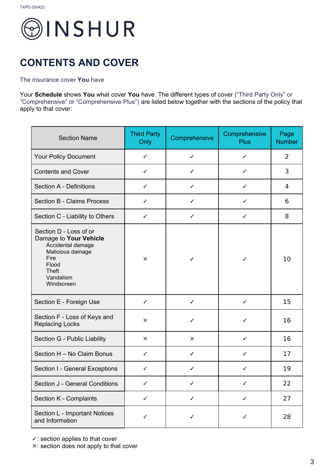

### **CONTENTS AND COVER**

#### The insurance cover **You** have

Your **Schedule** shows **You** what cover **You** have. The different types of cover ("Third Party Only" or "Comprehensive" or "Comprehensive Plus") are listed below together with the sections of the policy that apply to that cover:

| <b>Section Name</b>                                                                                                                                   | <b>Third Party</b><br>Only | Comprehensive | Comprehensive<br><b>Plus</b> | Page<br><b>Number</b> |
|-------------------------------------------------------------------------------------------------------------------------------------------------------|----------------------------|---------------|------------------------------|-----------------------|
| Your Policy Document                                                                                                                                  | $\checkmark$               | $\checkmark$  | ✓                            | 2                     |
| <b>Contents and Cover</b>                                                                                                                             | ✓                          | ✓             | ✓                            | 3                     |
| <b>Section A - Definitions</b>                                                                                                                        | ✓                          | ✓             | ✓                            | 4                     |
| <b>Section B - Claims Process</b>                                                                                                                     | $\checkmark$               | ✓             | $\checkmark$                 | 6                     |
| Section C - Liability to Others                                                                                                                       | $\checkmark$               | ✓             | $\checkmark$                 | 8                     |
| Section D - Loss of or<br>Damage to Your Vehicle<br>Accidental damage<br>Malicious damage<br>Fire<br>Flood<br><b>Theft</b><br>Vandalism<br>Windscreen | $\times$                   | ✓             | ✓                            | 10                    |
| Section E - Foreign Use                                                                                                                               | $\checkmark$               | ✓             | $\checkmark$                 | 15                    |
| Section F - Loss of Keys and<br><b>Replacing Locks</b>                                                                                                | $\times$                   | ✓             | ✓                            | 16                    |
| Section G - Public Liability                                                                                                                          | $\times$                   | $\times$      | ✓                            | 16                    |
| Section H - No Claim Bonus                                                                                                                            | ✓                          | ✓             | ✓                            | 17                    |
| Section I - General Exceptions                                                                                                                        | $\checkmark$               | ✓             | $\checkmark$                 | 19                    |
| Section J - General Conditions                                                                                                                        | ✓                          | ✓             | ✓                            | 22                    |
| Section K - Complaints                                                                                                                                | ✓                          | ✓             | $\checkmark$                 | 27                    |
| Section L - Important Notices<br>and Information                                                                                                      | ✓                          | ✓             | ✓                            | 28                    |

✓: section applies to that cover

✕: section does not apply to that cover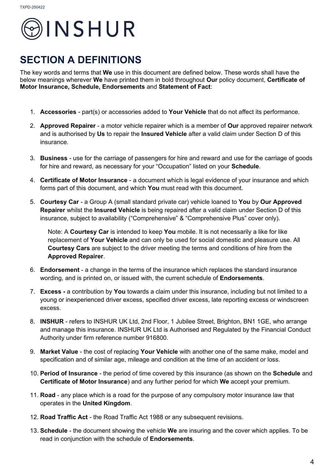

### **SECTION A DEFINITIONS**

The key words and terms that **We** use in this document are defined below. These words shall have the below meanings wherever **We** have printed them in bold throughout **Our** policy document, **Certificate of Motor Insurance, Schedule, Endorsements** and **Statement of Fact**:

- 1. **Accessories**  part(s) or accessories added to **Your Vehicle** that do not affect its performance.
- 2. **Approved Repairer** a motor vehicle repairer which is a member of **Our** approved repairer network and is authorised by **Us** to repair the **Insured Vehicle** after a valid claim under Section D of this insurance.
- 3. **Business** use for the carriage of passengers for hire and reward and use for the carriage of goods for hire and reward, as necessary for your "Occupation" listed on your **Schedule**.
- 4. **Certificate of Motor Insurance** a document which is legal evidence of your insurance and which forms part of this document, and which **You** must read with this document.
- 5. **Courtesy Car** a Group A (small standard private car) vehicle loaned to **You** by **Our Approved Repairer** whilst the **Insured Vehicle** is being repaired after a valid claim under Section D of this insurance, subject to availability ("Comprehensive" & "Comprehensive Plus" cover only).

Note: A **Courtesy Car** is intended to keep **You** mobile. It is not necessarily a like for like replacement of **Your Vehicle** and can only be used for social domestic and pleasure use. All **Courtesy Cars** are subject to the driver meeting the terms and conditions of hire from the **Approved Repairer**.

- 6. **Endorsement** a change in the terms of the insurance which replaces the standard insurance wording, and is printed on, or issued with, the current schedule of **Endorsements**.
- 7. **Excess -** a contribution by **You** towards a claim under this insurance, including but not limited to a young or inexperienced driver excess, specified driver excess, late reporting excess or windscreen excess.
- 8. **INSHUR** refers to INSHUR UK Ltd, 2nd Floor, 1 Jubilee Street, Brighton, BN1 1GE, who arrange and manage this insurance. INSHUR UK Ltd is Authorised and Regulated by the Financial Conduct Authority under firm reference number 916800.
- 9. **Market Value** the cost of replacing **Your Vehicle** with another one of the same make, model and specification and of similar age, mileage and condition at the time of an accident or loss.
- 10. **Period of Insurance** the period of time covered by this insurance (as shown on the **Schedule** and **Certificate of Motor Insurance**) and any further period for which **We** accept your premium.
- 11. **Road**  any place which is a road for the purpose of any compulsory motor insurance law that operates in the **United Kingdom**.
- 12. **Road Traffic Act** the Road Traffic Act 1988 or any subsequent revisions.
- 13. **Schedule** the document showing the vehicle **We** are insuring and the cover which applies. To be read in conjunction with the schedule of **Endorsements**.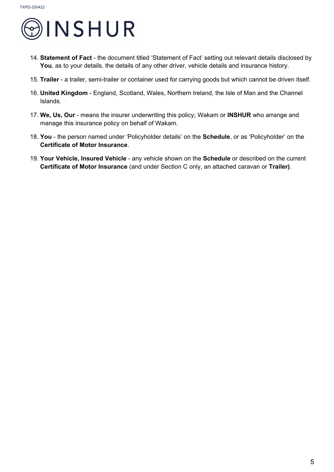

- 14. **Statement of Fact** the document titled 'Statement of Fact' setting out relevant details disclosed by **You**, as to your details, the details of any other driver, vehicle details and insurance history.
- 15. **Trailer** a trailer, semi-trailer or container used for carrying goods but which cannot be driven itself.
- 16. **United Kingdom** England, Scotland, Wales, Northern Ireland, the Isle of Man and the Channel Islands.
- 17. **We, Us, Our** means the insurer underwriting this policy; Wakam or **INSHUR** who arrange and manage this insurance policy on behalf of Wakam.
- 18. **You**  the person named under 'Policyholder details' on the **Schedule**, or as 'Policyholder' on the **Certificate of Motor Insurance**.
- 19. **Your Vehicle, Insured Vehicle** any vehicle shown on the **Schedule** or described on the current **Certificate of Motor Insurance** (and under Section C only, an attached caravan or **Trailer)**.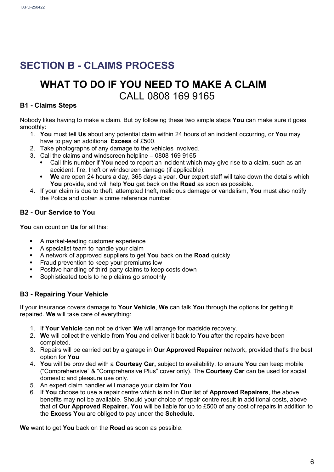### **[SECTION B - CLAIMS PROCESS](file:///../C:%5C%5CUsers%5C%5CMatthewBugler%5C%5CDesktop%5C%5CPolicy%20Wordings%5C%5CINSHUR%20wordings%5C%5CAmazon%20Flex%5C%5CDocs%20sent%20to%20Wakam%5C%5C09.03.2022%5C%5CClean%20copies%2011.03.22%5C%5C1.%20ukc-policy%20wording%20PAYF%20draft%2022nd%20Feb%202022%20%5BC&%3BC%2004.03.2022%5D%20INSHUR%2011%20Mar%202022.docx#_3rdcrjn)**

### **WHAT TO DO IF YOU NEED TO MAKE A CLAIM**  CALL 0808 169 9165

#### **B1 - Claims Steps**

Nobody likes having to make a claim. But by following these two simple steps **You** can make sure it goes smoothly:

- 1. **You** must tell **Us** about any potential claim within 24 hours of an incident occurring, or **You** may have to pay an additional **Excess** of £500.
- 2. Take photographs of any damage to the vehicles involved.
- 3. Call the claims and windscreen helpline 0808 169 9165
	- Call this number if **You** need to report an incident which may give rise to a claim, such as an accident, fire, theft or windscreen damage (if applicable).
	- **We** are open 24 hours a day, 365 days a year. **Our** expert staff will take down the details which **You** provide, and will help **You** get back on the **Road** as soon as possible.
- 4. If your claim is due to theft, attempted theft, malicious damage or vandalism, **You** must also notify the Police and obtain a crime reference number.

#### **B2 - Our Service to You**

**You** can count on **Us** for all this:

- A market-leading customer experience
- A specialist team to handle your claim
- A network of approved suppliers to get **You** back on the **Road** quickly
- Fraud prevention to keep your premiums low
- Positive handling of third-party claims to keep costs down
- Sophisticated tools to help claims go smoothly

#### **B3 - Repairing Your Vehicle**

If your insurance covers damage to **Your Vehicle**, **We** can talk **You** through the options for getting it repaired. **We** will take care of everything:

- 1. If **Your Vehicle** can not be driven **We** will arrange for roadside recovery.
- 2. **We** will collect the vehicle from **You** and deliver it back to **You** after the repairs have been completed.
- 3. Repairs will be carried out by a garage in **Our Approved Repairer** network, provided that's the best option for **You**
- 4. **You** will be provided with a **Courtesy Car,** subject to availability, to ensure **You** can keep mobile ("Comprehensive" & "Comprehensive Plus" cover only). The **Courtesy Car** can be used for social domestic and pleasure use only.
- 5. An expert claim handler will manage your claim for **You**
- 6. If **You** choose to use a repair centre which is not in **Our** list of **Approved Repairers**, the above benefits may not be available. Should your choice of repair centre result in additional costs, above that of **Our Approved Repairer, You** will be liable for up to £500 of any cost of repairs in addition to the **Excess You** are obliged to pay under the **Schedule.**

**We** want to get **You** back on the **Road** as soon as possible.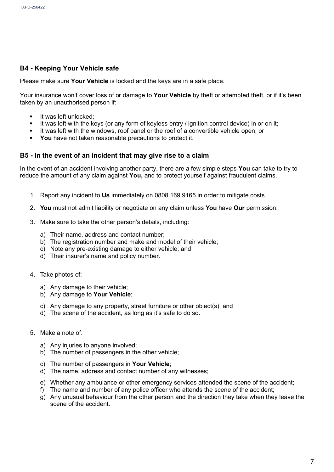#### **B4 - Keeping Your Vehicle safe**

Please make sure **Your Vehicle** is locked and the keys are in a safe place.

Your insurance won't cover loss of or damage to **Your Vehicle** by theft or attempted theft, or if it's been taken by an unauthorised person if:

- It was left unlocked;
- It was left with the keys (or any form of keyless entry / ignition control device) in or on it;
- It was left with the windows, roof panel or the roof of a convertible vehicle open; or
- **You** have not taken reasonable precautions to protect it.

#### **B5 - In the event of an incident that may give rise to a claim**

In the event of an accident involving another party, there are a few simple steps **You** can take to try to reduce the amount of any claim against **You,** and to protect yourself against fraudulent claims.

- 1. Report any incident to **Us** immediately on 0808 169 9165 in order to mitigate costs.
- 2. **You** must not admit liability or negotiate on any claim unless **You** have **Our** permission.
- 3. Make sure to take the other person's details, including:
	- a) Their name, address and contact number;
	- b) The registration number and make and model of their vehicle;
	- c) Note any pre-existing damage to either vehicle; and
	- d) Their insurer's name and policy number.
- 4. Take photos of:
	- a) Any damage to their vehicle;
	- b) Any damage to **Your Vehicle**;
	- c) Any damage to any property, street furniture or other object(s); and
	- d) The scene of the accident, as long as it's safe to do so.
- 5. Make a note of:
	- a) Any injuries to anyone involved;
	- b) The number of passengers in the other vehicle;
	- c) The number of passengers in **Your Vehicle**;
	- d) The name, address and contact number of any witnesses;
	- e) Whether any ambulance or other emergency services attended the scene of the accident;
	- f) The name and number of any police officer who attends the scene of the accident;
	- g) Any unusual behaviour from the other person and the direction they take when they leave the scene of the accident.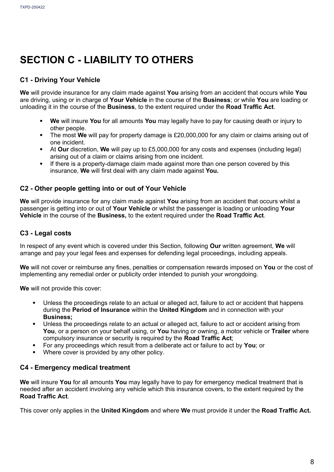### **SECTION C - LIABILITY TO OTHERS**

#### **C1 - Driving Your Vehicle**

**We** will provide insurance for any claim made against **You** arising from an accident that occurs while **You** are driving, using or in charge of **Your Vehicle** in the course of the **Business**; or while **You** are loading or unloading it in the course of the **Business**, to the extent required under the **Road Traffic Act**.

- **We** will insure **You** for all amounts **You** may legally have to pay for causing death or injury to other people.
- The most **We** will pay for property damage is £20,000,000 for any claim or claims arising out of one incident.
- At **Our** discretion, **We** will pay up to £5,000,000 for any costs and expenses (including legal) arising out of a claim or claims arising from one incident.
- If there is a property-damage claim made against more than one person covered by this insurance, **We** will first deal with any claim made against **You.**

#### **C2 - Other people getting into or out of Your Vehicle**

**We** will provide insurance for any claim made against **You** arising from an accident that occurs whilst a passenger is getting into or out of **Your Vehicle** or whilst the passenger is loading or unloading **Your Vehicle** in the course of the **Business,** to the extent required under the **Road Traffic Act**.

#### **C3 - Legal costs**

In respect of any event which is covered under this Section, following **Our** written agreement, **We** will arrange and pay your legal fees and expenses for defending legal proceedings, including appeals.

**We** will not cover or reimburse any fines, penalties or compensation rewards imposed on **You** or the cost of implementing any remedial order or publicity order intended to punish your wrongdoing.

**We** will not provide this cover:

- Unless the proceedings relate to an actual or alleged act, failure to act or accident that happens during the **Period of Insurance** within the **United Kingdom** and in connection with your **Business;**
- Unless the proceedings relate to an actual or alleged act, failure to act or accident arising from **You**, or a person on your behalf using, or **You** having or owning, a motor vehicle or **Trailer** where compulsory insurance or security is required by the **Road Traffic Act**;
- For any proceedings which result from a deliberate act or failure to act by **You**; or
- Where cover is provided by any other policy.

#### **C4 - Emergency medical treatment**

**We** will insure **You** for all amounts **You** may legally have to pay for emergency medical treatment that is needed after an accident involving any vehicle which this insurance covers, to the extent required by the **Road Traffic Act**.

This cover only applies in the **United Kingdom** and where **We** must provide it under the **Road Traffic Act.**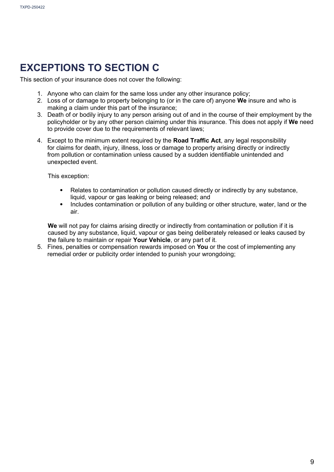### **EXCEPTIONS TO SECTION C**

This section of your insurance does not cover the following:

- 1. Anyone who can claim for the same loss under any other insurance policy;
- 2. Loss of or damage to property belonging to (or in the care of) anyone **We** insure and who is making a claim under this part of the insurance;
- 3. Death of or bodily injury to any person arising out of and in the course of their employment by the policyholder or by any other person claiming under this insurance. This does not apply if **We** need to provide cover due to the requirements of relevant laws;
- 4. Except to the minimum extent required by the **Road Traffic Act**, any legal responsibility for claims for death, injury, illness, loss or damage to property arising directly or indirectly from pollution or contamination unless caused by a sudden identifiable unintended and unexpected event.

This exception:

- Relates to contamination or pollution caused directly or indirectly by any substance, liquid, vapour or gas leaking or being released; and
- Includes contamination or pollution of any building or other structure, water, land or the air.

We will not pay for claims arising directly or indirectly from contamination or pollution if it is caused by any substance, liquid, vapour or gas being deliberately released or leaks caused by the failure to maintain or repair **Your Vehicle**, or any part of it.

5. Fines, penalties or compensation rewards imposed on **You** or the cost of implementing any remedial order or publicity order intended to punish your wrongdoing;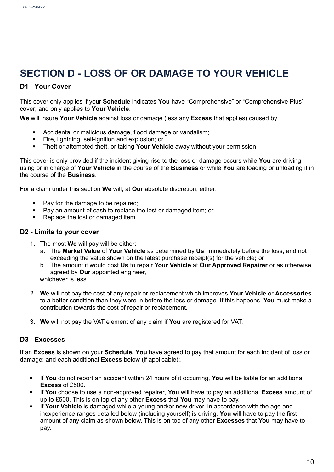### **SECTION D - LOSS OF OR DAMAGE TO YOUR VEHICLE**

#### **D1 - Your Cover**

This cover only applies if your **Schedule** indicates **You** have "Comprehensive" or "Comprehensive Plus" cover; and only applies to **Your Vehicle**.

**We** will insure **Your Vehicle** against loss or damage (less any **Excess** that applies) caused by:

- Accidental or malicious damage, flood damage or vandalism;
- Fire, lightning, self-ignition and explosion; or
- Theft or attempted theft, or taking **Your Vehicle** away without your permission.

This cover is only provided if the incident giving rise to the loss or damage occurs while **You** are driving, using or in charge of **Your Vehicle** in the course of the **Business** or while **You** are loading or unloading it in the course of the **Business**.

For a claim under this section **We** will, at **Our** absolute discretion, either:

- Pay for the damage to be repaired;
- Pay an amount of cash to replace the lost or damaged item; or
- Replace the lost or damaged item.

#### **D2 - Limits to your cover**

- 1. The most **We** will pay will be either:
	- a. The **Market Value** of **Your Vehicle** as determined by **Us**, immediately before the loss, and not exceeding the value shown on the latest purchase receipt(s) for the vehicle**;** or
	- b. The amount it would cost **Us** to repair **Your Vehicle** at **Our Approved Repairer** or as otherwise agreed by **Our** appointed engineer, whichever is less.
- 2. **We** will not pay the cost of any repair or replacement which improves **Your Vehicle** or **Accessories** to a better condition than they were in before the loss or damage. If this happens, **You** must make a contribution towards the cost of repair or replacement.
- 3. **We** will not pay the VAT element of any claim if **You** are registered for VAT.

#### **D3 - Excesses**

If an **Excess** is shown on your **Schedule, You** have agreed to pay that amount for each incident of loss or damage; and each additional **Excess** below (if applicable):.

- If **You** do not report an accident within 24 hours of it occurring, **You** will be liable for an additional **Excess** of £500.
- If **You** choose to use a non-approved repairer, **You** will have to pay an additional **Excess** amount of up to £500. This is on top of any other **Excess** that **You** may have to pay.
- If **Your Vehicle** is damaged while a young and/or new driver, in accordance with the age and inexperience ranges detailed below (including yourself) is driving, **You** will have to pay the first amount of any claim as shown below. This is on top of any other **Excesses** that **You** may have to pay.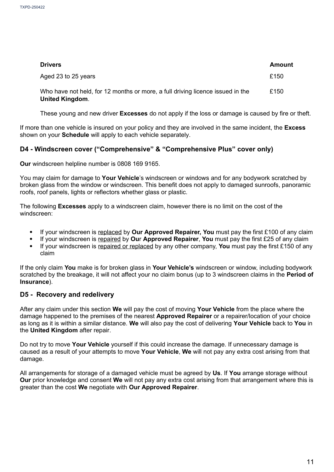| <b>Drivers</b>                                                                                           | Amount |
|----------------------------------------------------------------------------------------------------------|--------|
| Aged 23 to 25 years                                                                                      | £150   |
| Who have not held, for 12 months or more, a full driving licence issued in the<br><b>United Kingdom.</b> | £150   |

These young and new driver **Excesses** do not apply if the loss or damage is caused by fire or theft.

If more than one vehicle is insured on your policy and they are involved in the same incident, the **Excess**  shown on your **Schedule** will apply to each vehicle separately.

#### **D4 - Windscreen cover ("Comprehensive" & "Comprehensive Plus" cover only)**

**Our** windscreen helpline number is 0808 169 9165.

You may claim for damage to **Your Vehicle**'s windscreen or windows and for any bodywork scratched by broken glass from the window or windscreen. This benefit does not apply to damaged sunroofs, panoramic roofs, roof panels, lights or reflectors whether glass or plastic.

The following **Excesses** apply to a windscreen claim, however there is no limit on the cost of the windscreen<sup>.</sup>

- If your windscreen is replaced by **Our Approved Repairer, You** must pay the first £100 of any claim
- If your windscreen is repaired by **Ou**r **Approved Repairer**, **You** must pay the first £25 of any claim
- If your windscreen is repaired or replaced by any other company, **You** must pay the first £150 of any claim

If the only claim **You** make is for broken glass in **Your Vehicle's** windscreen or window, including bodywork scratched by the breakage, it will not affect your no claim bonus (up to 3 windscreen claims in the **Period of Insurance**).

#### **D5 - Recovery and redelivery**

After any claim under this section **We** will pay the cost of moving **Your Vehicle** from the place where the damage happened to the premises of the nearest **Approved Repairer** or a repairer/location of your choice as long as it is within a similar distance. **We** will also pay the cost of delivering **Your Vehicle** back to **You** in the **United Kingdom** after repair.

Do not try to move **Your Vehicle** yourself if this could increase the damage. If unnecessary damage is caused as a result of your attempts to move **Your Vehicle**, **We** will not pay any extra cost arising from that damage.

All arrangements for storage of a damaged vehicle must be agreed by **Us**. If **You** arrange storage without **Our** prior knowledge and consent **We** will not pay any extra cost arising from that arrangement where this is greater than the cost **We** negotiate with **Our Approved Repairer**.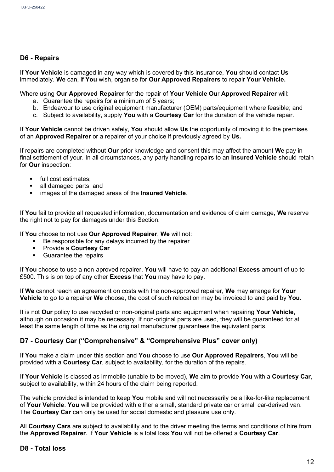#### **D6 - Repairs**

If **Your Vehicle** is damaged in any way which is covered by this insurance, **You** should contact **Us**  immediately. **We** can, if **You** wish, organise for **Our Approved Repairers** to repair **Your Vehicle.**

#### Where using **Our Approved Repairer** for the repair of **Your Vehicle Ou**r **Approved Repairer** will:

- a. Guarantee the repairs for a minimum of 5 years;
- b. Endeavour to use original equipment manufacturer (OEM) parts/equipment where feasible; and
- c. Subject to availability, supply **You** with a **Courtesy Car** for the duration of the vehicle repair.

If **Your Vehicle** cannot be driven safely, **You** should allow **Us** the opportunity of moving it to the premises of an **Approved Repairer** or a repairer of your choice if previously agreed by **Us.**

If repairs are completed without **Our** prior knowledge and consent this may affect the amount **We** pay in final settlement of your. In all circumstances, any party handling repairs to an **Insured Vehicle** should retain for **Our** inspection:

- full cost estimates:
- all damaged parts; and
- images of the damaged areas of the **Insured Vehicle**.

If **You** fail to provide all requested information, documentation and evidence of claim damage, **We** reserve the right not to pay for damages under this Section.

If **You** choose to not use **Our Approved Repairer**, **We** will not:

- Be responsible for any delays incurred by the repairer
- Provide a **Courtesy Car**
- Guarantee the repairs

If **You** choose to use a non-aproved repairer, **You** will have to pay an additional **Excess** amount of up to £500. This is on top of any other **Excess** that **You** may have to pay.

If **We** cannot reach an agreement on costs with the non-approved repairer, **We** may arrange for **Your Vehicle** to go to a repairer **We** choose, the cost of such relocation may be invoiced to and paid by **You**.

It is not **Our** policy to use recycled or non-original parts and equipment when repairing **Your Vehicle**, although on occasion it may be necessary. If non-original parts are used, they will be guaranteed for at least the same length of time as the original manufacturer guarantees the equivalent parts.

#### **D7 - Courtesy Car ("Comprehensive" & "Comprehensive Plus" cover only)**

If **You** make a claim under this section and **You** choose to use **Our Approved Repairers**, **You** will be provided with a **Courtesy Car**, subject to availability, for the duration of the repairs.

If **Your Vehicle** is classed as immobile (unable to be moved), **We** aim to provide **You** with a **Courtesy Car**, subject to availability, within 24 hours of the claim being reported.

The vehicle provided is intended to keep **You** mobile and will not necessarily be a like-for-like replacement of **Your Vehicle**. **You** will be provided with either a small, standard private car or small car-derived van. The **Courtesy Car** can only be used for social domestic and pleasure use only.

All **Courtesy Cars** are subject to availability and to the driver meeting the terms and conditions of hire from the **Approved Repairer**. If **Your Vehicle** is a total loss **You** will not be offered a **Courtesy Car**.

#### **D8 - Total loss**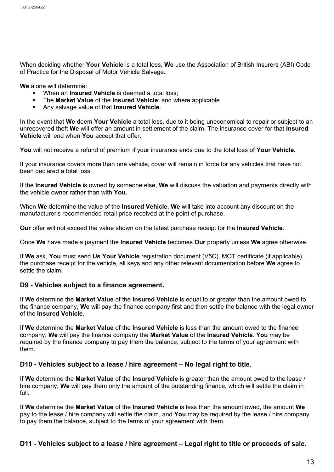When deciding whether **Your Vehicle** is a total loss, **We** use the Association of British Insurers (ABI) Code of Practice for the Disposal of Motor Vehicle Salvage.

**We** alone will determine:

- When an **Insured Vehicle** is deemed a total loss:
- The **Market Value** of the **Insured Vehicle**; and where applicable
- Any salvage value of that **Insured Vehicle**.

In the event that **We** deem **Your Vehicle** a total loss, due to it being uneconomical to repair or subject to an unrecovered theft **We** will offer an amount in settlement of the claim. The insurance cover for that **Insured Vehicle** will end when **You** accept that offer.

**You** will not receive a refund of premium if your insurance ends due to the total loss of **Your Vehicle.**

If your insurance covers more than one vehicle, cover will remain in force for any vehicles that have not been declared a total loss.

If the **Insured Vehicle** is owned by someone else, **We** will discuss the valuation and payments directly with the vehicle owner rather than with **You.**

When **We** determine the value of the **Insured Vehicle**, **We** will take into account any discount on the manufacturer's recommended retail price received at the point of purchase.

**Our** offer will not exceed the value shown on the latest purchase receipt for the **Insured Vehicle**.

Once **We** have made a payment the **Insured Vehicle** becomes **Our** property unless **We** agree otherwise.

If **We** ask, **You** must send **Us Your Vehicle** registration document (V5C), MOT certificate (if applicable), the purchase receipt for the vehicle, all keys and any other relevant documentation before **We** agree to settle the claim.

#### **D9 - Vehicles subject to a finance agreement.**

If **We** determine the **Market Value** of the **Insured Vehicle** is equal to or greater than the amount owed to the finance company, **We** will pay the finance company first and then settle the balance with the legal owner of the **Insured Vehicle**.

If **We** determine the **Market Value** of the **Insured Vehicle** is less than the amount owed to the finance company, **We** will pay the finance company the **Market Value** of the **Insured Vehicle**. **You** may be required by the finance company to pay them the balance, subject to the terms of your agreement with them.

#### **D10 - Vehicles subject to a lease / hire agreement – No legal right to title.**

If **We** determine the **Market Value** of the **Insured Vehicle** is greater than the amount owed to the lease / hire company, **We** will pay them only the amount of the outstanding finance, which will settle the claim in full.

If **We** determine the **Market Value** of the **Insured Vehicle** is less than the amount owed, the amount **We**  pay to the lease / hire company will settle the claim, and **You** may be required by the lease / hire company to pay them the balance, subject to the terms of your agreement with them.

#### **D11 - Vehicles subject to a lease / hire agreement – Legal right to title or proceeds of sale.**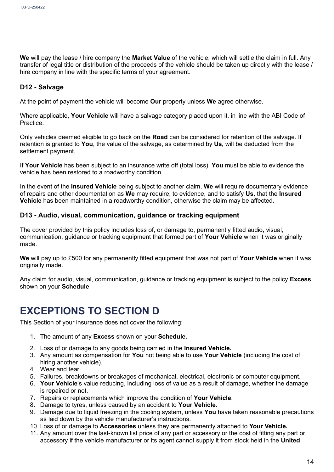**We** will pay the lease / hire company the **Market Value** of the vehicle, which will settle the claim in full. Any transfer of legal title or distribution of the proceeds of the vehicle should be taken up directly with the lease / hire company in line with the specific terms of your agreement.

#### **D12 - Salvage**

At the point of payment the vehicle will become **Our** property unless **We** agree otherwise.

Where applicable, **Your Vehicle** will have a salvage category placed upon it, in line with the ABI Code of Practice.

Only vehicles deemed eligible to go back on the **Road** can be considered for retention of the salvage. If retention is granted to **You**, the value of the salvage, as determined by **Us,** will be deducted from the settlement payment.

If **Your Vehicle** has been subject to an insurance write off (total loss), **You** must be able to evidence the vehicle has been restored to a roadworthy condition.

In the event of the **Insured Vehicle** being subject to another claim, **We** will require documentary evidence of repairs and other documentation as **We** may require, to evidence, and to satisfy **Us,** that the **Insured Vehicle** has been maintained in a roadworthy condition, otherwise the claim may be affected.

#### **D13 - Audio, visual, communication, guidance or tracking equipment**

The cover provided by this policy includes loss of, or damage to, permanently fitted audio, visual, communication, guidance or tracking equipment that formed part of **Your Vehicle** when it was originally made.

**We** will pay up to £500 for any permanently fitted equipment that was not part of **Your Vehicle** when it was originally made.

Any claim for audio, visual, communication, guidance or tracking equipment is subject to the policy **Excess** shown on your **Schedule**.

### **EXCEPTIONS TO SECTION D**

This Section of your insurance does not cover the following:

- 1. The amount of any **Excess** shown on your **Schedule**.
- 2. Loss of or damage to any goods being carried in the **Insured Vehicle.**
- 3. Any amount as compensation for **You** not being able to use **Your Vehicle** (including the cost of hiring another vehicle).
- 4. Wear and tear.
- 5. Failures, breakdowns or breakages of mechanical, electrical, electronic or computer equipment.
- 6. **Your Vehicle**'s value reducing, including loss of value as a result of damage, whether the damage is repaired or not.
- 7. Repairs or replacements which improve the condition of **Your Vehicle**.
- 8. Damage to tyres, unless caused by an accident to **Your Vehicle**.
- 9. Damage due to liquid freezing in the cooling system, unless **You** have taken reasonable precautions as laid down by the vehicle manufacturer's instructions.
- 10. Loss of or damage to **Accessories** unless they are permanently attached to **Your Vehicle.**
- 11. Any amount over the last-known list price of any part or accessory or the cost of fitting any part or accessory if the vehicle manufacturer or its agent cannot supply it from stock held in the **United**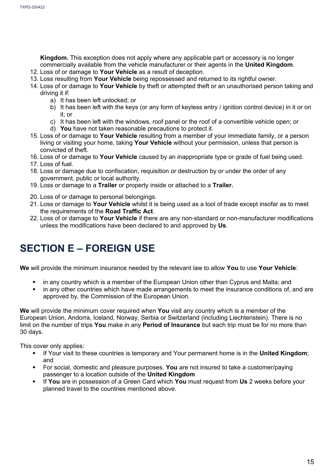**Kingdom.** This exception does not apply where any applicable part or accessory is no longer commercially available from the vehicle manufacturer or their agents in the **United Kingdom**.

- 12. Loss of or damage to **Your Vehicle** as a result of deception.
- 13. Loss resulting from **Your Vehicle** being repossessed and returned to its rightful owner.
- 14. Loss of or damage to **Your Vehicle** by theft or attempted theft or an unauthorised person taking and driving it if:
	- a) It has been left unlocked; or
	- b) It has been left with the keys (or any form of keyless entry / ignition control device) in it or on it; or
	- c) It has been left with the windows, roof panel or the roof of a convertible vehicle open; or
	- d) **You** have not taken reasonable precautions to protect it.
- 15. Loss of or damage to **Your Vehicle** resulting from a member of your immediate family, or a person living or visiting your home, taking **Your Vehicle** without your permission, unless that person is convicted of theft.
- 16. Loss of or damage to **Your Vehicle** caused by an inappropriate type or grade of fuel being used.
- 17. Loss of fuel.
- 18. Loss or damage due to confiscation, requisition or destruction by or under the order of any government, public or local authority.
- 19. Loss or damage to a **Trailer** or property inside or attached to a **Trailer.**
- 20. Loss of or damage to personal belongings.
- 21. Loss or damage to **Your Vehicle** whilst it is being used as a tool of trade except insofar as to meet the requirements of the **Road Traffic Act**.
- 22. Loss of or damage to **Your Vehicle** if there are any non-standard or non-manufacturer modifications unless the modifications have been declared to and approved by **Us**.

### **SECTION E – FOREIGN USE**

**We** will provide the minimum insurance needed by the relevant law to allow **You** to use **Your Vehicle**:

- in any country which is a member of the European Union other than Cyprus and Malta; and
- in any other countries which have made arrangements to meet the insurance conditions of, and are approved by, the Commission of the European Union.

**We** will provide the minimum cover required when **You** visit any country which is a member of the European Union, Andorra, Iceland, Norway, Serbia or Switzerland (including Liechtenstein). There is no limit on the number of trips **You** make in any **Period of Insurance** but each trip must be for no more than 30 days.

This cover only applies:

- If Your visit to these countries is temporary and Your permanent home is in the **United Kingdom**; and
- For social, domestic and pleasure purposes. **You** are not insured to take a customer/paying passenger to a location outside of the **United Kingdom**
- If **You** are in possession of a Green Card which **You** must request from **Us** 2 weeks before your planned travel to the countries mentioned above.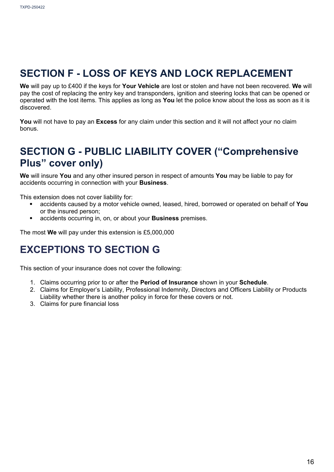### **SECTION F - LOSS OF KEYS AND LOCK REPLACEMENT**

**We** will pay up to £400 if the keys for **Your Vehicle** are lost or stolen and have not been recovered. **We** will pay the cost of replacing the entry key and transponders, ignition and steering locks that can be opened or operated with the lost items. This applies as long as **You** let the police know about the loss as soon as it is discovered.

**You** will not have to pay an **Excess** for any claim under this section and it will not affect your no claim bonus.

### **SECTION G - PUBLIC LIABILITY COVER ("Comprehensive Plus" cover only)**

**We** will insure **You** and any other insured person in respect of amounts **You** may be liable to pay for accidents occurring in connection with your **Business**.

This extension does not cover liability for:

- accidents caused by a motor vehicle owned, leased, hired, borrowed or operated on behalf of **You**  or the insured person;
- accidents occurring in, on, or about your **Business** premises.

The most **We** will pay under this extension is £5,000,000

### **EXCEPTIONS TO SECTION G**

This section of your insurance does not cover the following:

- 1. Claims occurring prior to or after the **Period of Insurance** shown in your **Schedule**.
- 2. Claims for Employer's Liability, Professional Indemnity, Directors and Officers Liability or Products Liability whether there is another policy in force for these covers or not.
- 3. Claims for pure financial loss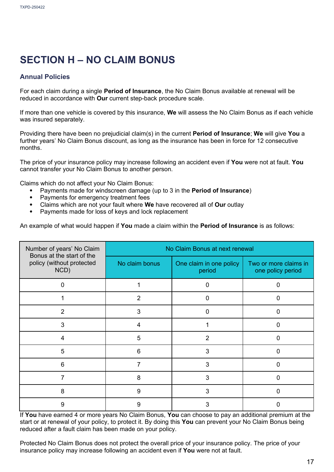### **SECTION H – NO CLAIM BONUS**

#### **Annual Policies**

For each claim during a single **Period of Insurance**, the No Claim Bonus available at renewal will be reduced in accordance with **Our** current step-back procedure scale.

If more than one vehicle is covered by this insurance, **We** will assess the No Claim Bonus as if each vehicle was insured separately.

Providing there have been no prejudicial claim(s) in the current **Period of Insurance**; **We** will give **You** a further years' No Claim Bonus discount, as long as the insurance has been in force for 12 consecutive months.

The price of your insurance policy may increase following an accident even if **You** were not at fault. **You**  cannot transfer your No Claim Bonus to another person.

Claims which do not affect your No Claim Bonus:

- Payments made for windscreen damage (up to 3 in the **Period of Insurance**)
- Payments for emergency treatment fees
- Claims which are not your fault where **We** have recovered all of **Our** outlay
- Payments made for loss of keys and lock replacement

An example of what would happen if **You** made a claim within the **Period of Insurance** is as follows:

| Number of years' No Claim<br>Bonus at the start of the | No Claim Bonus at next renewal |                                   |                                            |  |
|--------------------------------------------------------|--------------------------------|-----------------------------------|--------------------------------------------|--|
| policy (without protected<br>NCD)                      | No claim bonus                 | One claim in one policy<br>period | Two or more claims in<br>one policy period |  |
| 0                                                      |                                | 0                                 | $\Omega$                                   |  |
|                                                        | 2                              | ი                                 | ი                                          |  |
| $\overline{2}$                                         | 3                              | ი                                 | ი                                          |  |
| 3                                                      | 4                              |                                   | O                                          |  |
| 4                                                      | 5                              | $\overline{2}$                    | O                                          |  |
| 5                                                      | 6                              | 3                                 | ∩                                          |  |
| 6                                                      | 7                              | 3                                 | $\Omega$                                   |  |
|                                                        | 8                              | 3                                 | 0                                          |  |
| 8                                                      | 9                              | 3                                 | ∩                                          |  |
| 9                                                      | 9                              | 3                                 | n                                          |  |

If **You** have earned 4 or more years No Claim Bonus, **You** can choose to pay an additional premium at the start or at renewal of your policy, to protect it. By doing this **You** can prevent your No Claim Bonus being reduced after a fault claim has been made on your policy.

Protected No Claim Bonus does not protect the overall price of your insurance policy. The price of your insurance policy may increase following an accident even if **You** were not at fault.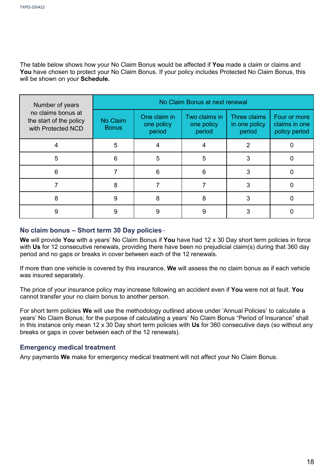The table below shows how your No Claim Bonus would be affected if **You** made a claim or claims and **You** have chosen to protect your No Claim Bonus. If your policy includes Protected No Claim Bonus, this will be shown on your **Schedule.** 

| Number of years                                                     | No Claim Bonus at next renewal |                                      |                                       |                                         |                                                |
|---------------------------------------------------------------------|--------------------------------|--------------------------------------|---------------------------------------|-----------------------------------------|------------------------------------------------|
| no claims bonus at<br>the start of the policy<br>with Protected NCD | No Claim<br><b>Bonus</b>       | One claim in<br>one policy<br>period | Two claims in<br>one policy<br>period | Three claims<br>in one policy<br>period | Four or more<br>claims in one<br>policy period |
| 4                                                                   | 5                              |                                      |                                       | 2                                       |                                                |
| 5                                                                   | 6                              | 5                                    | 5                                     | 3                                       |                                                |
| 6                                                                   |                                | 6                                    | 6                                     | 3                                       |                                                |
|                                                                     | 8                              |                                      |                                       | 3                                       |                                                |
| 8                                                                   | 9                              | 8                                    | 8                                     | 3                                       |                                                |
| 9                                                                   | 9                              | 9                                    | 9                                     |                                         |                                                |

#### **No claim bonus – Short term 30 Day policies**

**We** will provide **You** with a years' No Claim Bonus if **You** have had 12 x 30 Day short term policies in force with **Us** for 12 consecutive renewals, providing there have been no prejudicial claim(s) during that 360 day period and no gaps or breaks in cover between each of the 12 renewals.

If more than one vehicle is covered by this insurance, **We** will assess the no claim bonus as if each vehicle was insured separately.

The price of your insurance policy may increase following an accident even if **You** were not at fault. **You**  cannot transfer your no claim bonus to another person.

For short term policies **We** will use the methodology outlined above under 'Annual Policies' to calculate a years' No Claim Bonus; for the purpose of calculating a years' No Claim Bonus "Period of Insurance" shall in this instance only mean 12 x 30 Day short term policies with **Us** for 360 consecutive days (so without any breaks or gaps in cover between each of the 12 renewals).

#### **Emergency medical treatment**

Any payments **We** make for emergency medical treatment will not affect your No Claim Bonus.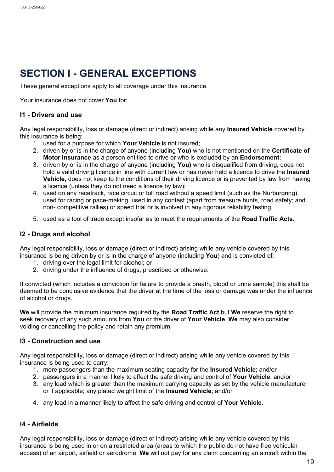### **SECTION I - GENERAL EXCEPTIONS**

These general exceptions apply to all coverage under this insurance.

Your insurance does not cover **You** for:

#### **I1 - Drivers and use**

Any legal responsibility, loss or damage (direct or indirect) arising while any **Insured Vehicle** covered by this insurance is being:

- 1. used for a purpose for which **Your Vehicle** is not insured;
- 2. driven by or is in the charge of anyone (including **You)** who is not mentioned on the **Certificate of Motor Insurance** as a person entitled to drive or who is excluded by an **Endorsement**;
- 3. driven by or is in the charge of anyone (including **You)** who is disqualified from driving, does not hold a valid driving licence in line with current law or has never held a licence to drive the **Insured Vehicle,** does not keep to the conditions of their driving licence or is prevented by law from having a licence (unless they do not need a licence by law);
- 4. used on any racetrack, race circuit or toll road without a speed limit (such as the Nürburgring), used for racing or pace-making, used in any contest (apart from treasure hunts, road safety; and non- competitive rallies) or speed trial or is involved in any rigorous reliability testing.
- 5. used as a tool of trade except insofar as to meet the requirements of the **Road Traffic Acts.**

#### **I2 - Drugs and alcohol**

Any legal responsibility, loss or damage (direct or indirect) arising while any vehicle covered by this insurance is being driven by or is in the charge of anyone (including **You**) and is convicted of:

- 1. driving over the legal limit for alcohol; or
- 2. driving under the influence of drugs, prescribed or otherwise.

If convicted (which includes a conviction for failure to provide a breath, blood or urine sample) this shall be deemed to be conclusive evidence that the driver at the time of the loss or damage was under the influence of alcohol or drugs.

**We** will provide the minimum insurance required by the **Road Traffic Act** but **We** reserve the right to seek recovery of any such amounts from **You** or the driver of **Your Vehicle**. **We** may also consider voiding or cancelling the policy and retain any premium.

#### **I3 - Construction and use**

Any legal responsibility, loss or damage (direct or indirect) arising while any vehicle covered by this insurance is being used to carry:

- 1. more passengers than the maximum seating capacity for the **Insured Vehicle**; and/or
- 2. passengers in a manner likely to affect the safe driving and control of **Your Vehicle**; and/or
- 3. any load which is greater than the maximum carrying capacity as set by the vehicle manufacturer or if applicable; any plated weight limit of the **Insured Vehicle**; and/or
- 4. any load in a manner likely to affect the safe driving and control of **Your Vehicle**.

#### **I4 - Airfields**

Any legal responsibility, loss or damage (direct or indirect) arising while any vehicle covered by this insurance is being used in or on a restricted area (areas to which the public do not have free vehicular access) of an airport, airfield or aerodrome. **We** will not pay for any claim concerning an aircraft within the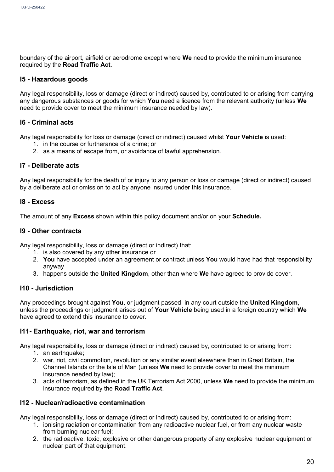boundary of the airport, airfield or aerodrome except where **We** need to provide the minimum insurance required by the **Road Traffic Act**.

#### **I5 - Hazardous goods**

Any legal responsibility, loss or damage (direct or indirect) caused by, contributed to or arising from carrying any dangerous substances or goods for which **You** need a licence from the relevant authority (unless **We** need to provide cover to meet the minimum insurance needed by law).

#### **I6 - Criminal acts**

Any legal responsibility for loss or damage (direct or indirect) caused whilst **Your Vehicle** is used:

- 1. in the course or furtherance of a crime; or
- 2. as a means of escape from, or avoidance of lawful apprehension.

#### **I7 - Deliberate acts**

Any legal responsibility for the death of or injury to any person or loss or damage (direct or indirect) caused by a deliberate act or omission to act by anyone insured under this insurance.

#### **I8 - Excess**

The amount of any **Excess** shown within this policy document and/or on your **Schedule.**

#### **I9 - Other contracts**

Any legal responsibility, loss or damage (direct or indirect) that:

- 1. is also covered by any other insurance or
- 2. **You** have accepted under an agreement or contract unless **You** would have had that responsibility anyway
- 3. happens outside the **United Kingdom**, other than where **We** have agreed to provide cover.

#### **I10 - Jurisdiction**

Any proceedings brought against **You**, or judgment passed in any court outside the **United Kingdom**, unless the proceedings or judgment arises out of **Your Vehicle** being used in a foreign country which **We**  have agreed to extend this insurance to cover.

#### **I11- Earthquake, riot, war and terrorism**

Any legal responsibility, loss or damage (direct or indirect) caused by, contributed to or arising from:

- 1. an earthquake;
- 2. war, riot, civil commotion, revolution or any similar event elsewhere than in Great Britain, the Channel Islands or the Isle of Man (unless **We** need to provide cover to meet the minimum insurance needed by law);
- 3. acts of terrorism, as defined in the UK Terrorism Act 2000, unless **We** need to provide the minimum insurance required by the **Road Traffic Act**.

#### **I12 - Nuclear/radioactive contamination**

Any legal responsibility, loss or damage (direct or indirect) caused by, contributed to or arising from:

- 1. ionising radiation or contamination from any radioactive nuclear fuel, or from any nuclear waste from burning nuclear fuel;
- 2. the radioactive, toxic, explosive or other dangerous property of any explosive nuclear equipment or nuclear part of that equipment.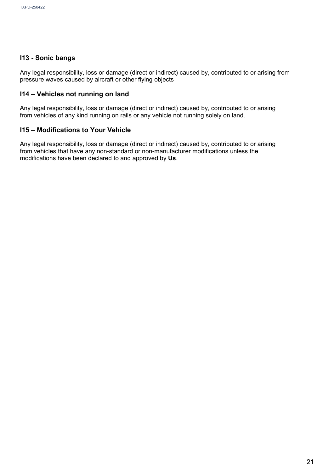#### **I13 - Sonic bangs**

Any legal responsibility, loss or damage (direct or indirect) caused by, contributed to or arising from pressure waves caused by aircraft or other flying objects

#### **I14 – Vehicles not running on land**

Any legal responsibility, loss or damage (direct or indirect) caused by, contributed to or arising from vehicles of any kind running on rails or any vehicle not running solely on land.

#### **I15 – Modifications to Your Vehicle**

Any legal responsibility, loss or damage (direct or indirect) caused by, contributed to or arising from vehicles that have any non-standard or non-manufacturer modifications unless the modifications have been declared to and approved by **Us**.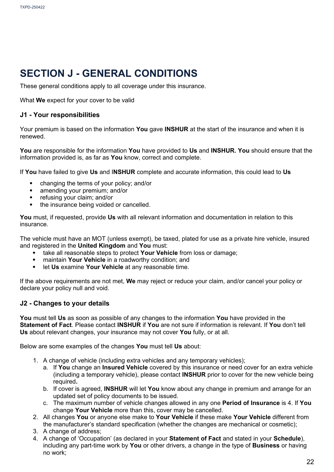### **SECTION J - GENERAL CONDITIONS**

These general conditions apply to all coverage under this insurance.

What **We** expect for your cover to be valid

#### **J1 - Your responsibilities**

Your premium is based on the information **You** gave **INSHUR** at the start of the insurance and when it is renewed.

**You** are responsible for the information **You** have provided to **Us** and **INSHUR. You** should ensure that the information provided is, as far as **You** know, correct and complete.

If **You** have failed to give **Us** and I**NSHUR** complete and accurate information, this could lead to **Us**

- changing the terms of your policy; and/or
- amending your premium; and/or
- refusing your claim; and/or
- the insurance being voided or cancelled.

**You** must, if requested, provide **Us** with all relevant information and documentation in relation to this insurance.

The vehicle must have an MOT (unless exempt), be taxed, plated for use as a private hire vehicle, insured and registered in the **United Kingdom** and **You** must:

- take all reasonable steps to protect **Your Vehicle** from loss or damage;
- **•** maintain **Your Vehicle** in a roadworthy condition; and<br>• let Us examine **Your Vehicle** at any reasonable time
- let **Us** examine **Your Vehicle** at any reasonable time.

If the above requirements are not met, **We** may reject or reduce your claim, and/or cancel your policy or declare your policy null and void.

#### **J2 - Changes to your details**

**You** must tell **Us** as soon as possible of any changes to the information **You** have provided in the **Statement of Fact**. Please contact **INSHUR** if **You** are not sure if information is relevant. If **You** don't tell **Us** about relevant changes, your insurance may not cover **You** fully, or at all.

Below are some examples of the changes **You** must tell **Us** about:

- 1. A change of vehicle (including extra vehicles and any temporary vehicles);
	- a. If **You** change an **Insured Vehicle** covered by this insurance or need cover for an extra vehicle (including a temporary vehicle), please contact **INSHUR** prior to cover for the new vehicle being required**.**
	- b. If cover is agreed, **INSHUR** will let **You** know about any change in premium and arrange for an updated set of policy documents to be issued.
	- c. The maximum number of vehicle changes allowed in any one **Period of Insurance** is 4. If **You** change **Your Vehicle** more than this, cover may be cancelled.
- 2. All changes **You** or anyone else make to **Your Vehicle** if these make **Your Vehicle** different from the manufacturer's standard specification (whether the changes are mechanical or cosmetic);
- 3. A change of address;
- 4. A change of 'Occupation' (as declared in your **Statement of Fact** and stated in your **Schedule**), including any part-time work by **You** or other drivers, a change in the type of **Business** or having no work;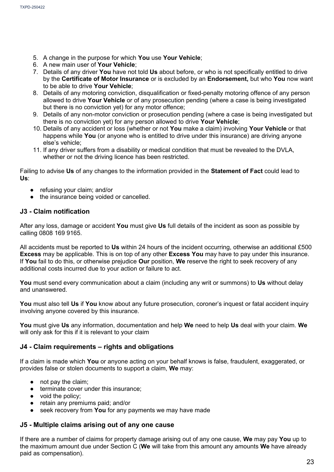- 5. A change in the purpose for which **You** use **Your Vehicle**;
- 6. A new main user of **Your Vehicle**;
- 7. Details of any driver **You** have not told **Us** about before, or who is not specifically entitled to drive by the **Certificate of Motor Insurance** or is excluded by an **Endorsement,** but who **You** now want to be able to drive **Your Vehicle**;
- 8. Details of any motoring conviction, disqualification or fixed-penalty motoring offence of any person allowed to drive **Your Vehicle** or of any prosecution pending (where a case is being investigated but there is no conviction yet) for any motor offence;
- 9. Details of any non-motor conviction or prosecution pending (where a case is being investigated but there is no conviction yet) for any person allowed to drive **Your Vehicle**;
- 10. Details of any accident or loss (whether or not **You** make a claim) involving **Your Vehicle** or that happens while **You** (or anyone who is entitled to drive under this insurance) are driving anyone else's vehicle;
- 11. If any driver suffers from a disability or medical condition that must be revealed to the DVLA, whether or not the driving licence has been restricted.

Failing to advise **Us** of any changes to the information provided in the **Statement of Fact** could lead to **Us**:

- refusing your claim; and/or
- the insurance being voided or cancelled.

#### **J3 - Claim notification**

After any loss, damage or accident **You** must give **Us** full details of the incident as soon as possible by calling 0808 169 9165.

All accidents must be reported to **Us** within 24 hours of the incident occurring, otherwise an additional £500 **Excess** may be applicable. This is on top of any other **Excess You** may have to pay under this insurance. If **You** fail to do this, or otherwise prejudice **Our** position, **We** reserve the right to seek recovery of any additional costs incurred due to your action or failure to act.

**You** must send every communication about a claim (including any writ or summons) to **Us** without delay and unanswered.

**You** must also tell **Us** if **You** know about any future prosecution, coroner's inquest or fatal accident inquiry involving anyone covered by this insurance.

**You** must give **Us** any information, documentation and help **We** need to help **Us** deal with your claim. **We** will only ask for this if it is relevant to your claim

#### **J4 - Claim requirements – rights and obligations**

If a claim is made which **You** or anyone acting on your behalf knows is false, fraudulent, exaggerated, or provides false or stolen documents to support a claim, **We** may:

- not pay the claim:
- terminate cover under this insurance:
- void the policy;
- retain any premiums paid; and/or
- seek recovery from **You** for any payments we may have made

#### **J5 - Multiple claims arising out of any one cause**

If there are a number of claims for property damage arising out of any one cause, **We** may pay **You** up to the maximum amount due under Section C (**We** will take from this amount any amounts **We** have already paid as compensation).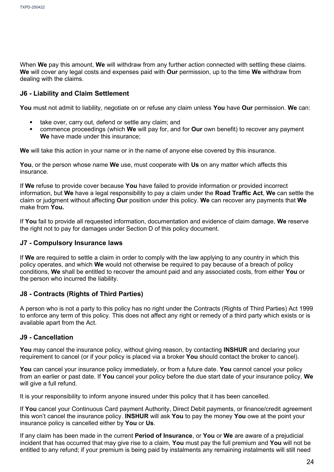When **We** pay this amount, **We** will withdraw from any further action connected with settling these claims. **We** will cover any legal costs and expenses paid with **Our** permission, up to the time **We** withdraw from dealing with the claims.

#### **J6 - Liability and Claim Settlement**

**You** must not admit to liability, negotiate on or refuse any claim unless **You** have **Our** permission. **We** can:

- take over, carry out, defend or settle any claim; and
- commence proceedings (which **We** will pay for, and for **Our** own benefit) to recover any payment **We** have made under this insurance;

**We** will take this action in your name or in the name of anyone else covered by this insurance.

**You**, or the person whose name **We** use, must cooperate with **Us** on any matter which affects this insurance.

If **We** refuse to provide cover because **You** have failed to provide information or provided incorrect information, but **We** have a legal responsibility to pay a claim under the **Road Traffic Act**, **We** can settle the claim or judgment without affecting **Our** position under this policy. **We** can recover any payments that **We**  make from **You.**

If **You** fail to provide all requested information, documentation and evidence of claim damage, **We** reserve the right not to pay for damages under Section D of this policy document.

#### **J7 - Compulsory Insurance laws**

If **We** are required to settle a claim in order to comply with the law applying to any country in which this policy operates, and which **We** would not otherwise be required to pay because of a breach of policy conditions, **We** shall be entitled to recover the amount paid and any associated costs, from either **You** or the person who incurred the liability.

#### **J8 - Contracts (Rights of Third Parties)**

A person who is not a party to this policy has no right under the Contracts (Rights of Third Parties) Act 1999 to enforce any term of this policy. This does not affect any right or remedy of a third party which exists or is available apart from the Act.

#### **J9 - Cancellation**

**You** may cancel the insurance policy, without giving reason, by contacting **INSHUR** and declaring your requirement to cancel (or if your policy is placed via a broker **You** should contact the broker to cancel).

**You** can cancel your insurance policy immediately, or from a future date. **You** cannot cancel your policy from an earlier or past date. If **You** cancel your policy before the due start date of your insurance policy, **We** will give a full refund.

It is your responsibility to inform anyone insured under this policy that it has been cancelled.

If **You** cancel your Continuous Card payment Authority, Direct Debit payments, or finance/credit agreement this won't cancel the insurance policy. **INSHUR** will ask **You** to pay the money **You** owe at the point your insurance policy is cancelled either by **You** or **Us**.

If any claim has been made in the current **Period of Insurance**, or **You** or **We** are aware of a prejudicial incident that has occurred that may give rise to a claim, **You** must pay the full premium and **You** will not be entitled to any refund; if your premium is being paid by instalments any remaining instalments will still need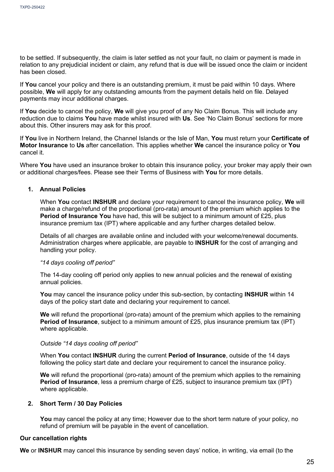to be settled. If subsequently, the claim is later settled as not your fault, no claim or payment is made in relation to any prejudicial incident or claim, any refund that is due will be issued once the claim or incident has been closed.

If **You** cancel your policy and there is an outstanding premium, it must be paid within 10 days. Where possible, **We** will apply for any outstanding amounts from the payment details held on file. Delayed payments may incur additional charges.

If **You** decide to cancel the policy, **We** will give you proof of any No Claim Bonus. This will include any reduction due to claims **You** have made whilst insured with **Us**. See 'No Claim Bonus' sections for more about this. Other insurers may ask for this proof.

If **You** live in Northern Ireland, the Channel Islands or the Isle of Man, **You** must return your **Certificate of Motor Insurance** to **Us** after cancellation. This applies whether **We** cancel the insurance policy or **You**  cancel it.

Where **You** have used an insurance broker to obtain this insurance policy, your broker may apply their own or additional charges/fees. Please see their Terms of Business with **You** for more details.

#### **1. Annual Policies**

When **You** contact **INSHUR** and declare your requirement to cancel the insurance policy, **We** will make a charge/refund of the proportional (pro-rata) amount of the premium which applies to the **Period of Insurance You** have had, this will be subject to a minimum amount of £25, plus insurance premium tax (IPT) where applicable and any further charges detailed below.

Details of all charges are available online and included with your welcome/renewal documents. Administration charges where applicable, are payable to **INSHUR** for the cost of arranging and handling your policy.

#### *"14 days cooling off period"*

The 14-day cooling off period only applies to new annual policies and the renewal of existing annual policies.

**You** may cancel the insurance policy under this sub-section, by contacting **INSHUR** within 14 days of the policy start date and declaring your requirement to cancel.

**We** will refund the proportional (pro-rata) amount of the premium which applies to the remaining **Period of Insurance**, subject to a minimum amount of £25, plus insurance premium tax (IPT) where applicable.

#### *Outside "14 days cooling off period"*

When **You** contact **INSHUR** during the current **Period of Insurance**, outside of the 14 days following the policy start date and declare your requirement to cancel the insurance policy.

**We** will refund the proportional (pro-rata) amount of the premium which applies to the remaining **Period of Insurance**, less a premium charge of £25, subject to insurance premium tax (IPT) where applicable.

#### **2. Short Term / 30 Day Policies**

**You** may cancel the policy at any time; However due to the short term nature of your policy, no refund of premium will be payable in the event of cancellation.

#### **Our cancellation rights**

**We** or **INSHUR** may cancel this insurance by sending seven days' notice, in writing, via email (to the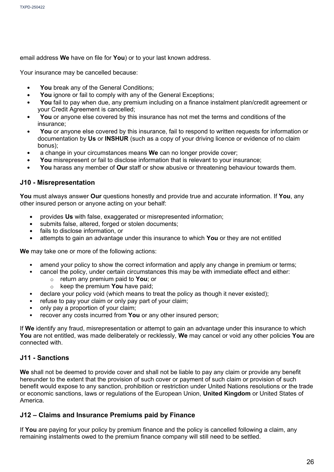email address **We** have on file for **You**) or to your last known address.

Your insurance may be cancelled because:

- You break any of the General Conditions;
- You ignore or fail to comply with any of the General Exceptions;
- **You** fail to pay when due, any premium including on a finance instalment plan/credit agreement or your Credit Agreement is cancelled;
- **You** or anyone else covered by this insurance has not met the terms and conditions of the insurance;
- You or anyone else covered by this insurance, fail to respond to written requests for information or documentation by **Us** or **INSHUR** (such as a copy of your driving licence or evidence of no claim bonus);
- a change in your circumstances means **We** can no longer provide cover;
- **You** misrepresent or fail to disclose information that is relevant to your insurance;
- **You** harass any member of **Our** staff or show abusive or threatening behaviour towards them.

#### **J10 - Misrepresentation**

**You** must always answer **Our** questions honestly and provide true and accurate information. If **You**, any other insured person or anyone acting on your behalf:

- provides **Us** with false, exaggerated or misrepresented information;
- submits false, altered, forged or stolen documents;
- fails to disclose information, or
- attempts to gain an advantage under this insurance to which **You** or they are not entitled

**We** may take one or more of the following actions:

- amend your policy to show the correct information and apply any change in premium or terms;
- cancel the policy, under certain circumstances this may be with immediate effect and either:
	- o return any premium paid to **You**; or
	- o keep the premium **You** have paid;
- declare your policy void (which means to treat the policy as though it never existed);
- refuse to pay your claim or only pay part of your claim;
- only pay a proportion of your claim;
- recover any costs incurred from **You** or any other insured person;

If **We** identify any fraud, misrepresentation or attempt to gain an advantage under this insurance to which **You** are not entitled, was made deliberately or recklessly, **We** may cancel or void any other policies **You** are connected with.

#### **J11 - Sanctions**

**We** shall not be deemed to provide cover and shall not be liable to pay any claim or provide any benefit hereunder to the extent that the provision of such cover or payment of such claim or provision of such benefit would expose to any sanction, prohibition or restriction under United Nations resolutions or the trade or economic sanctions, laws or regulations of the European Union, **United Kingdom** or United States of America.

#### **J12 – Claims and Insurance Premiums paid by Finance**

If **You** are paying for your policy by premium finance and the policy is cancelled following a claim, any remaining instalments owed to the premium finance company will still need to be settled.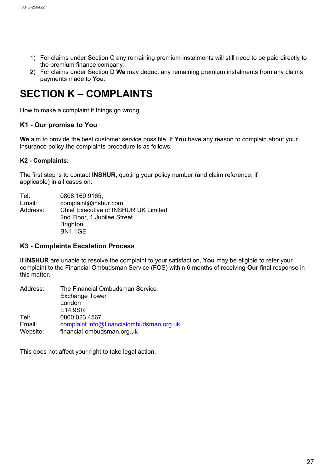- 1) For claims under Section C any remaining premium instalments will still need to be paid directly to the premium finance company.
- 2) For claims under Section D **We** may deduct any remaining premium instalments from any claims payments made to **You**.

### **SECTION K – COMPLAINTS**

How to make a complaint if things go wrong

#### **K1 - Our promise to You**

**We** aim to provide the best customer service possible. If **You** have any reason to complain about your insurance policy the complaints procedure is as follows:

#### **K2 - Complaints:**

The first step is to contact **INSHUR,** quoting your policy number (and claim reference, if applicable) in all cases on:

| Tel:     | 0808 169 9165.                       |
|----------|--------------------------------------|
| Email:   | complaint@inshur.com                 |
| Address: | Chief Executive of INSHUR UK Limited |
|          | 2nd Floor, 1 Jubilee Street          |
|          | <b>Brighton</b>                      |
|          | <b>BN1 1GE</b>                       |

#### **K3 - Complaints Escalation Process**

If **INSHUR** are unable to resolve the complaint to your satisfaction, **You** may be eligible to refer your complaint to the Financial Ombudsman Service (FOS) within 6 months of receiving **Our** final response in this matter.

| Address: | The Financial Ombudsman Service          |
|----------|------------------------------------------|
|          | <b>Exchange Tower</b>                    |
|          | London                                   |
|          | E14 9SR                                  |
| Tel:     | 0800 023 4567                            |
| Email:   | complaint.info@financialombudsman.org.uk |
| Website: | financial-ombudsman.org.uk               |

This does not affect your right to take legal action.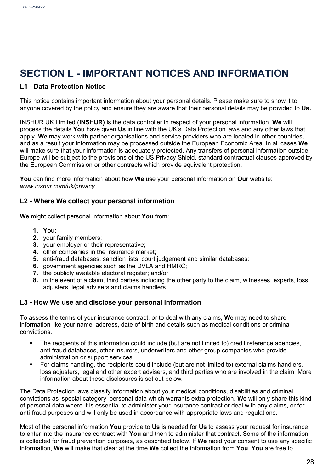### **SECTION L - IMPORTANT NOTICES AND INFORMATION**

#### **L1 - Data Protection Notice**

This notice contains important information about your personal details. Please make sure to show it to anyone covered by the policy and ensure they are aware that their personal details may be provided to **Us.**

INSHUR UK Limited (**INSHUR)** is the data controller in respect of your personal information. **We** will process the details **You** have given **Us** in line with the UK's Data Protection laws and any other laws that apply. **We** may work with partner organisations and service providers who are located in other countries, and as a result your information may be processed outside the European Economic Area. In all cases **We**  will make sure that your information is adequately protected. Any transfers of personal information outside Europe will be subject to the provisions of the US Privacy Shield, standard contractual clauses approved by the European Commission or other contracts which provide equivalent protection.

**You** can find more information about how **We** use your personal information on **Our** website: *[www.inshur.com/uk/privacy](http://www.inshur.com/uk/privacy)*

#### **L2 - Where We collect your personal information**

**We** might collect personal information about **You** from:

- **1. You;**
- **2.** your family members;
- **3.** your employer or their representative;
- **4.** other companies in the insurance market;
- **5.** anti-fraud databases, sanction lists, court judgement and similar databases;
- **6.** government agencies such as the DVLA and HMRC;
- **7.** the publicly available electoral register; and/or
- **8.** in the event of a claim, third parties including the other party to the claim, witnesses, experts, loss adjusters, legal advisers and claims handlers.

#### **L3 - How We use and disclose your personal information**

To assess the terms of your insurance contract, or to deal with any claims, **We** may need to share information like your name, address, date of birth and details such as medical conditions or criminal convictions.

- The recipients of this information could include (but are not limited to) credit reference agencies, anti-fraud databases, other insurers, underwriters and other group companies who provide administration or support services.
- For claims handling, the recipients could include (but are not limited to) external claims handlers, loss adjusters, legal and other expert advisers, and third parties who are involved in the claim. More information about these disclosures is set out below.

The Data Protection laws classify information about your medical conditions, disabilities and criminal convictions as 'special category' personal data which warrants extra protection. **We** will only share this kind of personal data where it is essential to administer your insurance contract or deal with any claims, or for anti-fraud purposes and will only be used in accordance with appropriate laws and regulations.

Most of the personal information **You** provide to **Us** is needed for **Us** to assess your request for insurance, to enter into the insurance contract with **You** and then to administer that contract. Some of the information is collected for fraud prevention purposes, as described below. If **We** need your consent to use any specific information, **We** will make that clear at the time **We** collect the information from **You**. **You** are free to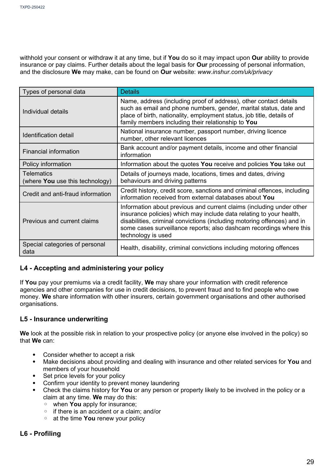withhold your consent or withdraw it at any time, but if **You** do so it may impact upon **Our** ability to provide insurance or pay claims. Further details about the legal basis for **Our** processing of personal information, and the disclosure **We** may make, can be found on **Our** website: *[www.inshur.com/uk/privacy](http://www.inshur.com/uk/privacy)*

| Types of personal data                               | <b>Details</b>                                                                                                                                                                                                                                                                                                      |
|------------------------------------------------------|---------------------------------------------------------------------------------------------------------------------------------------------------------------------------------------------------------------------------------------------------------------------------------------------------------------------|
| Individual details                                   | Name, address (including proof of address), other contact details<br>such as email and phone numbers, gender, marital status, date and<br>place of birth, nationality, employment status, job title, details of<br>family members including their relationship to You                                               |
| Identification detail                                | National insurance number, passport number, driving licence<br>number, other relevant licences                                                                                                                                                                                                                      |
| <b>Financial information</b>                         | Bank account and/or payment details, income and other financial<br>information                                                                                                                                                                                                                                      |
| Policy information                                   | Information about the quotes You receive and policies You take out                                                                                                                                                                                                                                                  |
| <b>Telematics</b><br>(where You use this technology) | Details of journeys made, locations, times and dates, driving<br>behaviours and driving patterns                                                                                                                                                                                                                    |
| Credit and anti-fraud information                    | Credit history, credit score, sanctions and criminal offences, including<br>information received from external databases about You                                                                                                                                                                                  |
| Previous and current claims                          | Information about previous and current claims (including under other<br>insurance policies) which may include data relating to your health,<br>disabilities, criminal convictions (including motoring offences) and in<br>some cases surveillance reports; also dashcam recordings where this<br>technology is used |
| Special categories of personal<br>data               | Health, disability, criminal convictions including motoring offences                                                                                                                                                                                                                                                |

#### **L4 - Accepting and administering your policy**

If **You** pay your premiums via a credit facility, **We** may share your information with credit reference agencies and other companies for use in credit decisions, to prevent fraud and to find people who owe money. **We** share information with other insurers, certain government organisations and other authorised organisations.

#### **L5 - Insurance underwriting**

**We** look at the possible risk in relation to your prospective policy (or anyone else involved in the policy) so that **We** can:

- Consider whether to accept a risk<br>• Make decisions about providing an
- Make decisions about providing and dealing with insurance and other related services for **You** and members of your household
- Set price levels for your policy
- Confirm your identity to prevent money laundering
- Check the claims history for **You** or any person or property likely to be involved in the policy or a claim at any time. **We** may do this:
	- when **You** apply for insurance;
	- if there is an accident or a claim; and/or
	- at the time **You** renew your policy

#### **L6 - Profiling**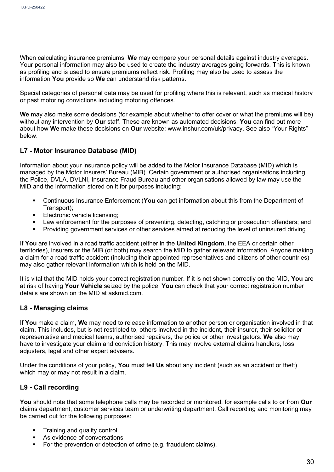When calculating insurance premiums, **We** may compare your personal details against industry averages. Your personal information may also be used to create the industry averages going forwards. This is known as profiling and is used to ensure premiums reflect risk. Profiling may also be used to assess the information **You** provide so **We** can understand risk patterns.

Special categories of personal data may be used for profiling where this is relevant, such as medical history or past motoring convictions including motoring offences.

**We** may also make some decisions (for example about whether to offer cover or what the premiums will be) without any intervention by **Our** staff. These are known as automated decisions. **You** can find out more about how **We** make these decisions on **Our** website: [www.inshur.com/uk/privacy.](http://www.inshur.com/uk/privacy) See also "Your Rights" below.

#### **L7 - Motor Insurance Database (MID)**

Information about your insurance policy will be added to the Motor Insurance Database (MID) which is managed by the Motor Insurers' Bureau (MIB). Certain government or authorised organisations including the Police, DVLA, DVLNI, Insurance Fraud Bureau and other organisations allowed by law may use the MID and the information stored on it for purposes including:

- Continuous Insurance Enforcement (**You** can get information about this from the Department of Transport);
- Electronic vehicle licensing;
- Law enforcement for the purposes of preventing, detecting, catching or prosecution offenders; and
- Providing government services or other services aimed at reducing the level of uninsured driving.

If **You** are involved in a road traffic accident (either in the **United Kingdom**, the EEA or certain other territories), insurers or the MIB (or both) may search the MID to gather relevant information. Anyone making a claim for a road traffic accident (including their appointed representatives and citizens of other countries) may also gather relevant information which is held on the MID.

It is vital that the MID holds your correct registration number. If it is not shown correctly on the MID, **You** are at risk of having **Your Vehicle** seized by the police. **You** can check that your correct registration number details are shown on the MID at askmid.com.

#### **L8 - Managing claims**

If **You** make a claim, **We** may need to release information to another person or organisation involved in that claim. This includes, but is not restricted to, others involved in the incident, their insurer, their solicitor or representative and medical teams, authorised repairers, the police or other investigators. **We** also may have to investigate your claim and conviction history. This may involve external claims handlers, loss adjusters, legal and other expert advisers.

Under the conditions of your policy, **You** must tell **Us** about any incident (such as an accident or theft) which may or may not result in a claim.

#### **L9 - Call recording**

**You** should note that some telephone calls may be recorded or monitored, for example calls to or from **Our** claims department, customer services team or underwriting department. Call recording and monitoring may be carried out for the following purposes:

- Training and quality control
- As evidence of conversations
- For the prevention or detection of crime (e.g. fraudulent claims).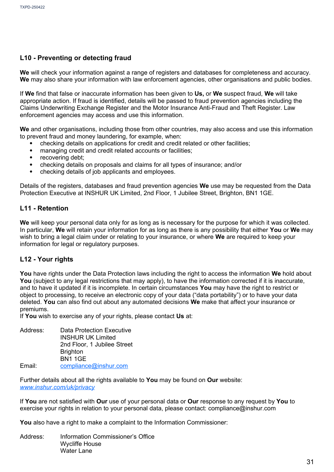#### **L10 - Preventing or detecting fraud**

**We** will check your information against a range of registers and databases for completeness and accuracy. **We** may also share your information with law enforcement agencies, other organisations and public bodies.

If **We** find that false or inaccurate information has been given to **Us,** or **We** suspect fraud, **We** will take appropriate action. If fraud is identified, details will be passed to fraud prevention agencies including the Claims Underwriting Exchange Register and the Motor Insurance Anti-Fraud and Theft Register. Law enforcement agencies may access and use this information.

**We** and other organisations, including those from other countries, may also access and use this information to prevent fraud and money laundering, for example, when:

- checking details on applications for credit and credit related or other facilities;
- managing credit and credit related accounts or facilities;
- recovering debt;
- checking details on proposals and claims for all types of insurance; and/or
- checking details of job applicants and employees.

Details of the registers, databases and fraud prevention agencies **We** use may be requested from the Data Protection Executive at INSHUR UK Limited, 2nd Floor, 1 Jubilee Street, Brighton, BN1 1GE.

#### **L11 - Retention**

**We** will keep your personal data only for as long as is necessary for the purpose for which it was collected. In particular, **We** will retain your information for as long as there is any possibility that either **You** or **We** may wish to bring a legal claim under or relating to your insurance, or where **We** are required to keep your information for legal or regulatory purposes.

#### **L12 - Your rights**

**You** have rights under the Data Protection laws including the right to access the information **We** hold about **You** (subject to any legal restrictions that may apply), to have the information corrected if it is inaccurate, and to have it updated if it is incomplete. In certain circumstances **You** may have the right to restrict or object to processing, to receive an electronic copy of your data ("data portability") or to have your data deleted. **You** can also find out about any automated decisions **We** make that affect your insurance or premiums.

If **You** wish to exercise any of your rights, please contact **Us** at:

| Address: | <b>Data Protection Executive</b> |
|----------|----------------------------------|
|          | <b>INSHUR UK Limited</b>         |
|          | 2nd Floor, 1 Jubilee Street      |
|          | <b>Brighton</b>                  |
|          | <b>BN1 1GE</b>                   |
| Email:   | compliance@inshur.com            |

Further details about all the rights available to **You** may be found on **Our** website: *www.inshur.com/uk/privacy*

If **You** are not satisfied with **Our** use of your personal data or **Our** response to any request by **You** to exercise your rights in relation to your personal data, please contact: [compliance@inshur.com](mailto:compliance@inshur.com)

**You** also have a right to make a complaint to the Information Commissioner:

Address: Information Commissioner's Office Wycliffe House Water Lane